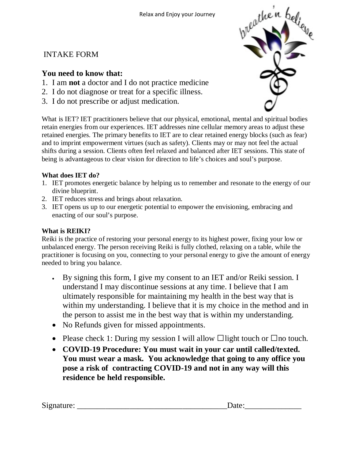## INTAKE FORM

### **You need to know that:**

- 1. I am **not** a doctor and I do not practice medicine
- 2. I do not diagnose or treat for a specific illness.
- 3. I do not prescribe or adjust medication.

What is IET? IET practitioners believe that our physical, emotional, mental and spiritual bodies retain energies from our experiences. IET addresses nine cellular memory areas to adjust these retained energies. The primary benefits to IET are to clear retained energy blocks (such as fear) and to imprint empowerment virtues (such as safety). Clients may or may not feel the actual shifts during a session. Clients often feel relaxed and balanced after IET sessions. This state of being is advantageous to clear vision for direction to life's choices and soul's purpose.

#### **What does IET do?**

- 1. IET promotes energetic balance by helping us to remember and resonate to the energy of our divine blueprint.
- 2. IET reduces stress and brings about relaxation.
- 3. IET opens us up to our energetic potential to empower the envisioning, embracing and enacting of our soul's purpose.

#### **What is REIKI?**

Reiki is the practice of restoring your personal energy to its highest power, fixing your low or unbalanced energy. The person receiving Reiki is fully clothed, relaxing on a table, while the practitioner is focusing on you, connecting to your personal energy to give the amount of energy needed to bring you balance.

- By signing this form, I give my consent to an IET and/or Reiki session. I understand I may discontinue sessions at any time. I believe that I am ultimately responsible for maintaining my health in the best way that is within my understanding. I believe that it is my choice in the method and in the person to assist me in the best way that is within my understanding.
- No Refunds given for missed appointments.
- Please check 1: During my session I will allow  $\Box$  light touch or  $\Box$  no touch.
- **COVID-19 Procedure: You must wait in your car until called/texted. You must wear a mask. You acknowledge that going to any office you pose a risk of contracting COVID-19 and not in any way will this residence be held responsible.**

| Sig<br>∙ בrוו⊦<br>-------- |  |
|----------------------------|--|
|                            |  |